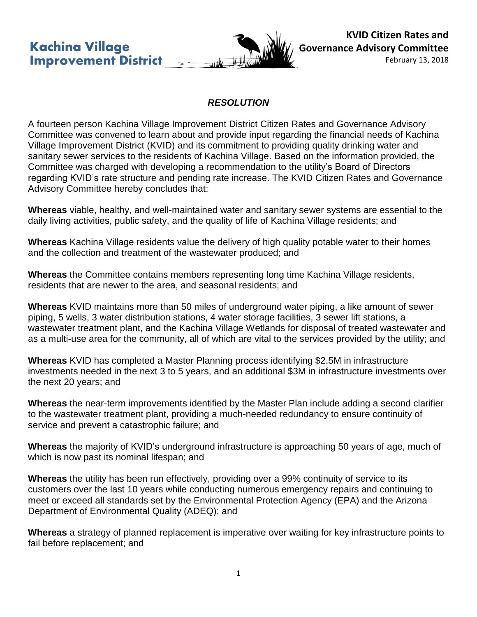**Kachina Village Improvement District** 



**KVID Citizen Rates and Governance Advisory Committee**

February 13, 2018

## *RESOLUTION*

A fourteen person Kachina Village Improvement District Citizen Rates and Governance Advisory Committee was convened to learn about and provide input regarding the financial needs of Kachina Village Improvement District (KVID) and its commitment to providing quality drinking water and sanitary sewer services to the residents of Kachina Village. Based on the information provided, the Committee was charged with developing a recommendation to the utility's Board of Directors regarding KVID's rate structure and pending rate increase. The KVID Citizen Rates and Governance Advisory Committee hereby concludes that:

**Whereas** viable, healthy, and well-maintained water and sanitary sewer systems are essential to the daily living activities, public safety, and the quality of life of Kachina Village residents; and

**Whereas** Kachina Village residents value the delivery of high quality potable water to their homes and the collection and treatment of the wastewater produced; and

**Whereas** the Committee contains members representing long time Kachina Village residents, residents that are newer to the area, and seasonal residents; and

**Whereas** KVID maintains more than 50 miles of underground water piping, a like amount of sewer piping, 5 wells, 3 water distribution stations, 4 water storage facilities, 3 sewer lift stations, a wastewater treatment plant, and the Kachina Village Wetlands for disposal of treated wastewater and as a multi-use area for the community, all of which are vital to the services provided by the utility; and

**Whereas** KVID has completed a Master Planning process identifying \$2.5M in infrastructure investments needed in the next 3 to 5 years, and an additional \$3M in infrastructure investments over the next 20 years; and

**Whereas** the near-term improvements identified by the Master Plan include adding a second clarifier to the wastewater treatment plant, providing a much-needed redundancy to ensure continuity of service and prevent a catastrophic failure; and

**Whereas** the majority of KVID's underground infrastructure is approaching 50 years of age, much of which is now past its nominal lifespan; and

**Whereas** the utility has been run effectively, providing over a 99% continuity of service to its customers over the last 10 years while conducting numerous emergency repairs and continuing to meet or exceed all standards set by the Environmental Protection Agency (EPA) and the Arizona Department of Environmental Quality (ADEQ); and

**Whereas** a strategy of planned replacement is imperative over waiting for key infrastructure points to fail before replacement; and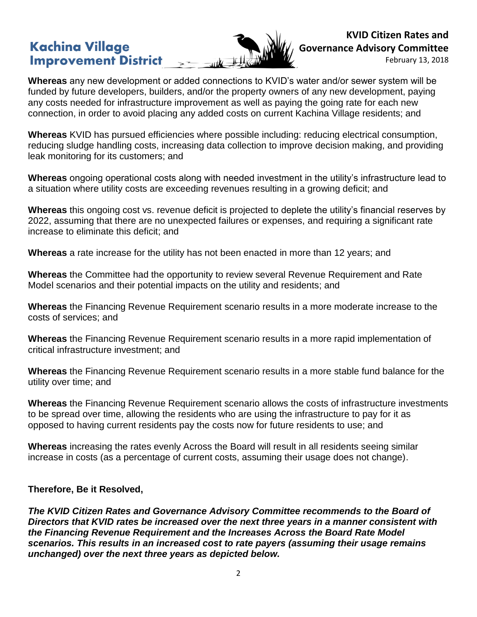## **Kachina Village Improvement District**



**KVID Citizen Rates and Governance Advisory Committee**

February 13, 2018

**Whereas** any new development or added connections to KVID's water and/or sewer system will be funded by future developers, builders, and/or the property owners of any new development, paying any costs needed for infrastructure improvement as well as paying the going rate for each new connection, in order to avoid placing any added costs on current Kachina Village residents; and

**Whereas** KVID has pursued efficiencies where possible including: reducing electrical consumption, reducing sludge handling costs, increasing data collection to improve decision making, and providing leak monitoring for its customers; and

**Whereas** ongoing operational costs along with needed investment in the utility's infrastructure lead to a situation where utility costs are exceeding revenues resulting in a growing deficit; and

**Whereas** this ongoing cost vs. revenue deficit is projected to deplete the utility's financial reserves by 2022, assuming that there are no unexpected failures or expenses, and requiring a significant rate increase to eliminate this deficit; and

**Whereas** a rate increase for the utility has not been enacted in more than 12 years; and

**Whereas** the Committee had the opportunity to review several Revenue Requirement and Rate Model scenarios and their potential impacts on the utility and residents; and

**Whereas** the Financing Revenue Requirement scenario results in a more moderate increase to the costs of services; and

**Whereas** the Financing Revenue Requirement scenario results in a more rapid implementation of critical infrastructure investment; and

**Whereas** the Financing Revenue Requirement scenario results in a more stable fund balance for the utility over time; and

**Whereas** the Financing Revenue Requirement scenario allows the costs of infrastructure investments to be spread over time, allowing the residents who are using the infrastructure to pay for it as opposed to having current residents pay the costs now for future residents to use; and

**Whereas** increasing the rates evenly Across the Board will result in all residents seeing similar increase in costs (as a percentage of current costs, assuming their usage does not change).

## **Therefore, Be it Resolved,**

*The KVID Citizen Rates and Governance Advisory Committee recommends to the Board of Directors that KVID rates be increased over the next three years in a manner consistent with the Financing Revenue Requirement and the Increases Across the Board Rate Model scenarios. This results in an increased cost to rate payers (assuming their usage remains unchanged) over the next three years as depicted below.*